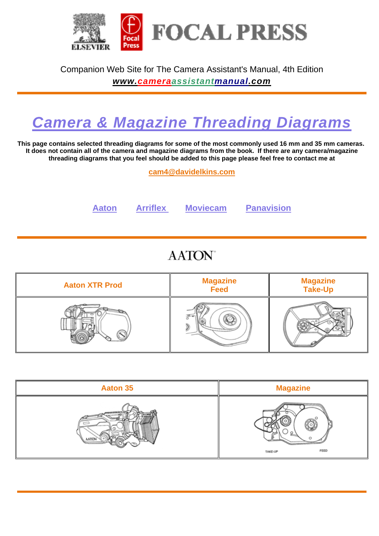

Companion Web Site for The Camera Assistant's Manual, 4th Edition

*www.cameraassistantmanual.com*

## *Camera & Magazine Threading Diagrams*

**This page contains selected threading diagrams for some of the most commonly used 16 mm and 35 mm cameras. It does not contain all of the camera and magazine diagrams from the book. If there are any camera/magazine threading diagrams that you feel should be added to this page please feel free to contact me at** 

**cam4@davidelkins.com**

**Aaton Arriflex Moviecam Panavision**

## **AATON**

| <b>Aaton XTR Prod</b> | <b>Magazine</b><br><b>Feed</b> | <b>Magazine<br/>Take-Up</b> |
|-----------------------|--------------------------------|-----------------------------|
|                       |                                |                             |

| <b>Aaton 35</b> | <b>Magazine</b> |
|-----------------|-----------------|
| a att           | FEED<br>TAKE-UP |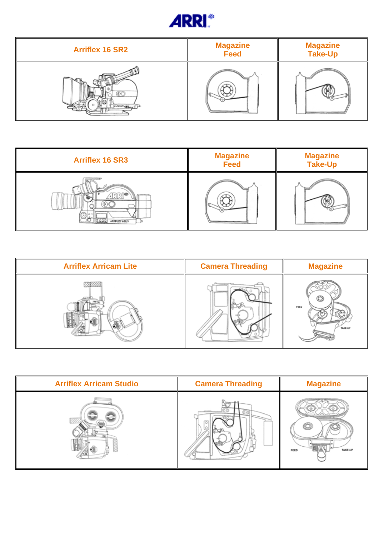

| <b>Arriflex 16 SR2</b> | <b>Magazine</b><br><b>Feed</b> | <b>Magazine</b><br><b>Take-Up</b> |
|------------------------|--------------------------------|-----------------------------------|
|                        |                                |                                   |

| <b>Arriflex 16 SR3</b> | <b>Magazine</b><br><b>Feed</b> | <b>Magazine</b><br><b>Take-Up</b> |
|------------------------|--------------------------------|-----------------------------------|
| ARRESTS MAIL 3         |                                |                                   |

| <b>Arriflex Arricam Lite</b> | <b>Camera Threading</b> | <b>Magazine</b>        |
|------------------------------|-------------------------|------------------------|
|                              |                         | FEED<br><b>TAKE-UP</b> |

| <b>Arriflex Arricam Studio</b> | <b>Camera Threading</b> | <b>Magazine</b> |
|--------------------------------|-------------------------|-----------------|
| koo                            |                         | TAKE-UP<br>FEED |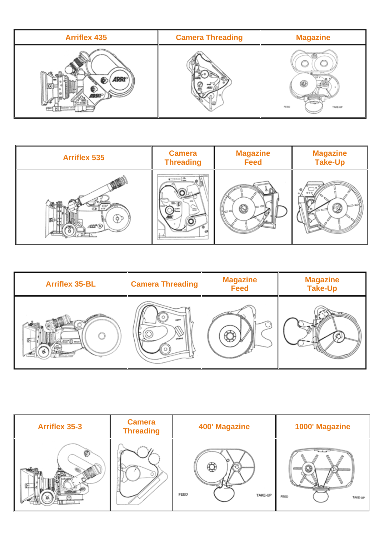| <b>Arriflex 435</b> | <b>Camera Threading</b> | <b>Magazine</b> |
|---------------------|-------------------------|-----------------|
| <b>JRF</b><br>mo    |                         | FEED<br>TAKE-UP |

| <b>Arriflex 535</b> | <b>Camera</b>    | <b>Magazine</b> | <b>Magazine</b> |
|---------------------|------------------|-----------------|-----------------|
|                     | <b>Threading</b> | <b>Feed</b>     | <b>Take-Up</b>  |
| ær (D               | Come la<br>≕ೂಗ   | ы               |                 |

| <b>Arriflex 35-BL</b> | <b>Camera Threading</b> | <b>Magazine</b><br><b>Feed</b> | <b>Magazine<br/>Take-Up</b> |
|-----------------------|-------------------------|--------------------------------|-----------------------------|
| K.                    |                         |                                |                             |

| <b>Arriflex 35-3</b> | <b>Camera</b><br><b>Threading</b> | 400' Magazine   | 1000' Magazine  |
|----------------------|-----------------------------------|-----------------|-----------------|
| ഴ                    |                                   | FEED<br>TAKE-UP | FEED<br>TAKE-UP |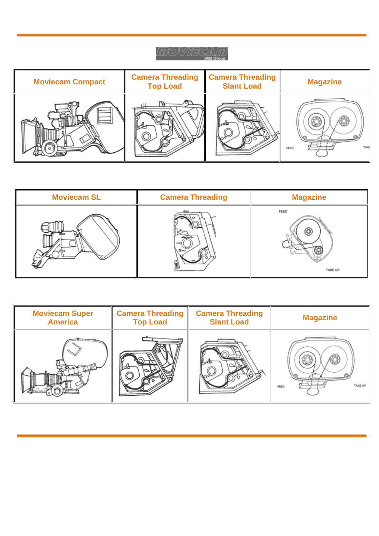## *ITUOVIE GAVITU*

| <b>Moviecam Compact</b> | <b>Camera Threading</b><br><b>Top Load</b> | <b>Camera Threading</b><br><b>Slant Load</b> | <b>Magazine</b> |
|-------------------------|--------------------------------------------|----------------------------------------------|-----------------|
|                         |                                            |                                              | TAK)<br>FEED    |

| <b>Moviecam SL</b> | <b>Camera Threading</b> | <b>Magazine</b> |
|--------------------|-------------------------|-----------------|
|                    |                         | FEED<br>TAKE-UP |

| <b>Moviecam Super</b> | <b>Camera Threading</b> | <b>Camera Threading</b> | <b>Magazine</b> |
|-----------------------|-------------------------|-------------------------|-----------------|
| <b>America</b>        | <b>Top Load</b>         | <b>Slant Load</b>       |                 |
|                       |                         |                         | TAKE-UP<br>FEED |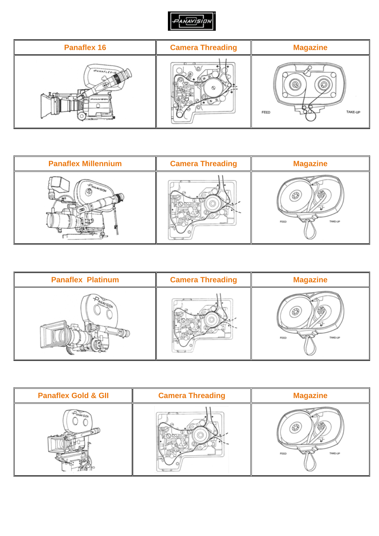

| <b>Panaflex 16</b>         | <b>Camera Threading</b> | <b>Magazine</b> |
|----------------------------|-------------------------|-----------------|
| PANAFLEY-IF<br>PEANAVIRIDA |                         | TAKE-UP<br>FEED |

| <b>Panaflex Millennium</b> | <b>Camera Threading</b> | <b>Magazine</b> |
|----------------------------|-------------------------|-----------------|
|                            |                         | TAKE-UP<br>FEED |

| <b>Panaflex Platinum</b> | <b>Camera Threading</b> | <b>Magazine</b>        |
|--------------------------|-------------------------|------------------------|
|                          |                         | <b>FEED</b><br>TAKE-UP |

| <b>Panaflex Gold &amp; GII</b> | <b>Camera Threading</b> | <b>Magazine</b>        |
|--------------------------------|-------------------------|------------------------|
| ANANDO-                        |                         | TAKE-UP<br><b>FEED</b> |